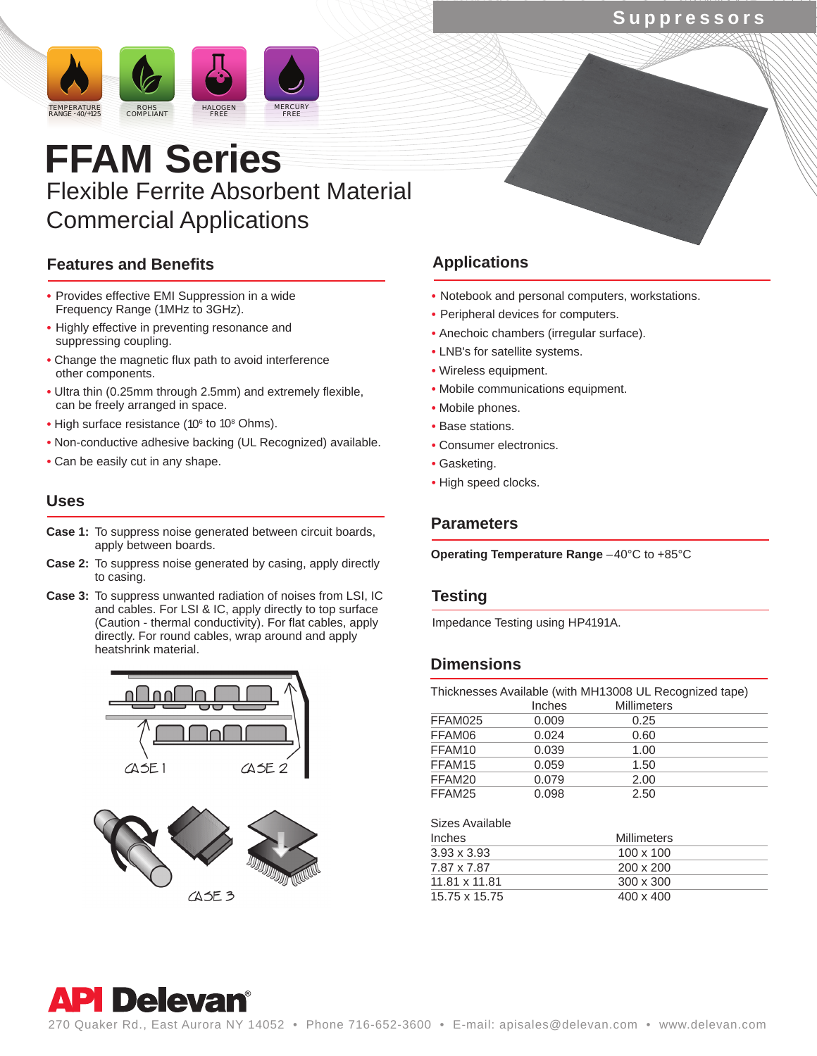# **Suppressors**



# **FFAM Series** Flexible Ferrite Absorbent Material Commercial Applications

# **Features and Benefits**

- **•** Provides effective EMI Suppression in a wide Frequency Range (1MHz to 3GHz).
- **•** Highly effective in preventing resonance and suppressing coupling.
- **•** Change the magnetic flux path to avoid interference other components.
- **•** Ultra thin (0.25mm through 2.5mm) and extremely flexible, can be freely arranged in space.
- High surface resistance (10<sup>6</sup> to 10<sup>8</sup> Ohms).
- **•** Non-conductive adhesive backing (UL Recognized) available.
- **•** Can be easily cut in any shape.

## **Uses**

- **Parameters Case 1:** To suppress noise generated between circuit boards, apply between boards.
- **Case 2:** To suppress noise generated by casing, apply directly to casing.
- **Case 3:** To suppress unwanted radiation of noises from LSI, IC and cables. For LSI & IC, apply directly to top surface (Caution - thermal conductivity). For flat cables, apply directly. For round cables, wrap around and apply heatshrink material.





# **Applications**

- **•** Notebook and personal computers, workstations.
- **•** Peripheral devices for computers.
- **•** Anechoic chambers (irregular surface).
- **•** LNB's for satellite systems.
- **•** Wireless equipment.
- **•** Mobile communications equipment.
- **•** Mobile phones.
- **•** Base stations.
- **•** Consumer electronics.
- **•** Gasketing.
- **•** High speed clocks.

**Operating Temperature Range** –40°C to +85°C

## **Testing**

Impedance Testing using HP4191A.

# **Dimensions**

| Thicknesses Available (with MH13008 UL Recognized tape) |        |                    |  |  |
|---------------------------------------------------------|--------|--------------------|--|--|
|                                                         | Inches | <b>Millimeters</b> |  |  |
| FFAM025                                                 | 0.009  | 0.25               |  |  |
| FFAM06                                                  | 0.024  | 0.60               |  |  |
| FFAM10                                                  | 0.039  | 1.00               |  |  |
| FFAM15                                                  | 0.059  | 1.50               |  |  |
| FFAM20                                                  | 0.079  | 2.00               |  |  |
| FFAM25                                                  | 0.098  | 2.50               |  |  |

| Sizes Available    |                    |  |
|--------------------|--------------------|--|
| <b>Inches</b>      | <b>Millimeters</b> |  |
| $3.93 \times 3.93$ | $100 \times 100$   |  |
| 7.87 x 7.87        | $200 \times 200$   |  |
| 11.81 x 11.81      | $300 \times 300$   |  |
| 15.75 x 15.75      | $400 \times 400$   |  |